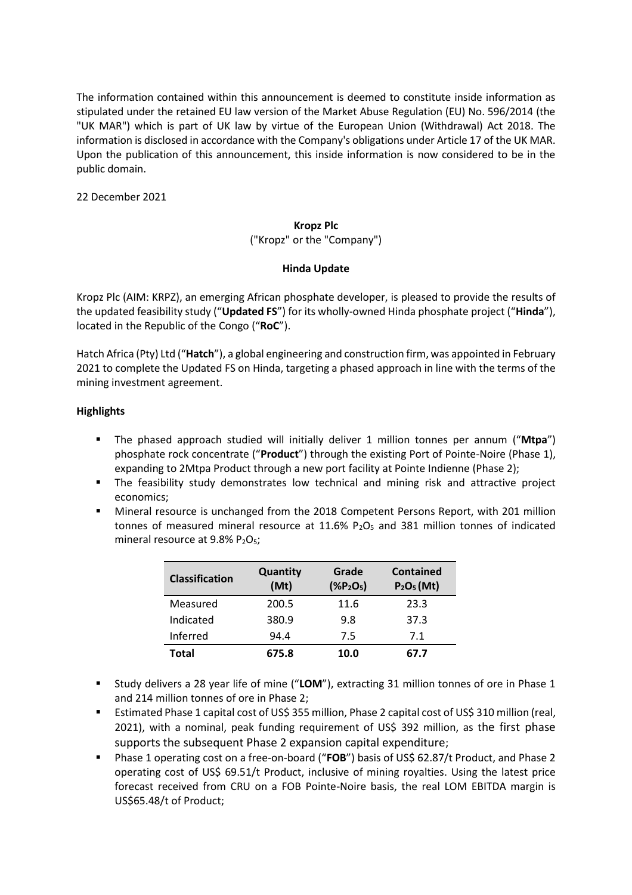The information contained within this announcement is deemed to constitute inside information as stipulated under the retained EU law version of the Market Abuse Regulation (EU) No. 596/2014 (the "UK MAR") which is part of UK law by virtue of the European Union (Withdrawal) Act 2018. The information is disclosed in accordance with the Company's obligations under Article 17 of the UK MAR. Upon the publication of this announcement, this inside information is now considered to be in the public domain.

22 December 2021

# **Kropz Plc**

## ("Kropz" or the "Company")

# **Hinda Update**

Kropz Plc (AIM: KRPZ), an emerging African phosphate developer, is pleased to provide the results of the updated feasibility study ("**Updated FS**") for its wholly-owned Hinda phosphate project ("**Hinda**"), located in the Republic of the Congo ("**RoC**").

Hatch Africa (Pty) Ltd ("**Hatch**"), a global engineering and construction firm, was appointed in February 2021 to complete the Updated FS on Hinda, targeting a phased approach in line with the terms of the mining investment agreement.

# **Highlights**

- The phased approach studied will initially deliver 1 million tonnes per annum ("**Mtpa**") phosphate rock concentrate ("**Product**") through the existing Port of Pointe-Noire (Phase 1), expanding to 2Mtpa Product through a new port facility at Pointe Indienne (Phase 2);
- The feasibility study demonstrates low technical and mining risk and attractive project economics;
- Mineral resource is unchanged from the 2018 Competent Persons Report, with 201 million tonnes of measured mineral resource at  $11.6\%$  P<sub>2</sub>O<sub>5</sub> and 381 million tonnes of indicated mineral resource at  $9.8\%$  P<sub>2</sub>O<sub>5</sub>;

| <b>Classification</b> | <b>Quantity</b><br>(Mt) | Grade<br>$(*P2O5)$ | Contained<br>$P2O5$ (Mt) |
|-----------------------|-------------------------|--------------------|--------------------------|
| Measured              | 200.5                   | 11.6               | 23.3                     |
| Indicated             | 380.9                   | 9.8                | 37.3                     |
| Inferred              | 94.4                    | 7.5                | 7.1                      |
| Total                 | 675.8                   | 10.0               | 67.7                     |

- Study delivers a 28 year life of mine ("**LOM**"), extracting 31 million tonnes of ore in Phase 1 and 214 million tonnes of ore in Phase 2;
- Estimated Phase 1 capital cost of US\$ 355 million, Phase 2 capital cost of US\$ 310 million (real, 2021), with a nominal, peak funding requirement of US\$ 392 million, as the first phase supports the subsequent Phase 2 expansion capital expenditure;
- Phase 1 operating cost on a free-on-board ("**FOB**") basis of US\$ 62.87/t Product, and Phase 2 operating cost of US\$ 69.51/t Product, inclusive of mining royalties. Using the latest price forecast received from CRU on a FOB Pointe-Noire basis, the real LOM EBITDA margin is US\$65.48/t of Product;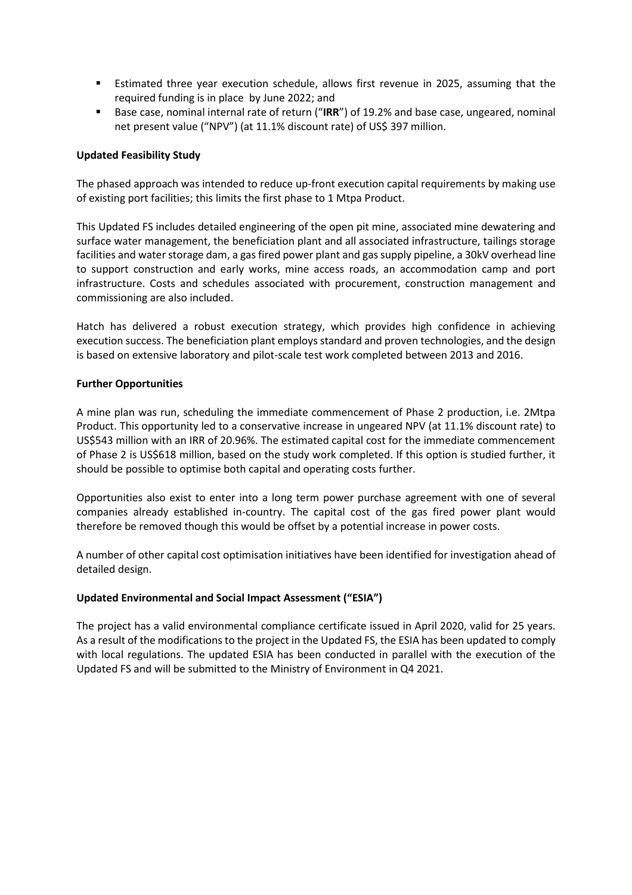- Estimated three year execution schedule, allows first revenue in 2025, assuming that the required funding is in place by June 2022; and
- Base case, nominal internal rate of return ("IRR") of 19.2% and base case, ungeared, nominal net present value ("NPV") (at 11.1% discount rate) of US\$ 397 million.

## **Updated Feasibility Study**

The phased approach was intended to reduce up-front execution capital requirements by making use of existing port facilities; this limits the first phase to 1 Mtpa Product.

This Updated FS includes detailed engineering of the open pit mine, associated mine dewatering and surface water management, the beneficiation plant and all associated infrastructure, tailings storage facilities and water storage dam, a gas fired power plant and gas supply pipeline, a 30kV overhead line to support construction and early works, mine access roads, an accommodation camp and port infrastructure. Costs and schedules associated with procurement, construction management and commissioning are also included.

Hatch has delivered a robust execution strategy, which provides high confidence in achieving execution success. The beneficiation plant employs standard and proven technologies, and the design is based on extensive laboratory and pilot-scale test work completed between 2013 and 2016.

#### **Further Opportunities**

A mine plan was run, scheduling the immediate commencement of Phase 2 production, i.e. 2Mtpa Product. This opportunity led to a conservative increase in ungeared NPV (at 11.1% discount rate) to US\$543 million with an IRR of 20.96%. The estimated capital cost for the immediate commencement of Phase 2 is US\$618 million, based on the study work completed. If this option is studied further, it should be possible to optimise both capital and operating costs further.

Opportunities also exist to enter into a long term power purchase agreement with one of several companies already established in-country. The capital cost of the gas fired power plant would therefore be removed though this would be offset by a potential increase in power costs.

A number of other capital cost optimisation initiatives have been identified for investigation ahead of detailed design.

## **Updated Environmental and Social Impact Assessment ("ESIA")**

The project has a valid environmental compliance certificate issued in April 2020, valid for 25 years. As a result of the modifications to the project in the Updated FS, the ESIA has been updated to comply with local regulations. The updated ESIA has been conducted in parallel with the execution of the Updated FS and will be submitted to the Ministry of Environment in Q4 2021.